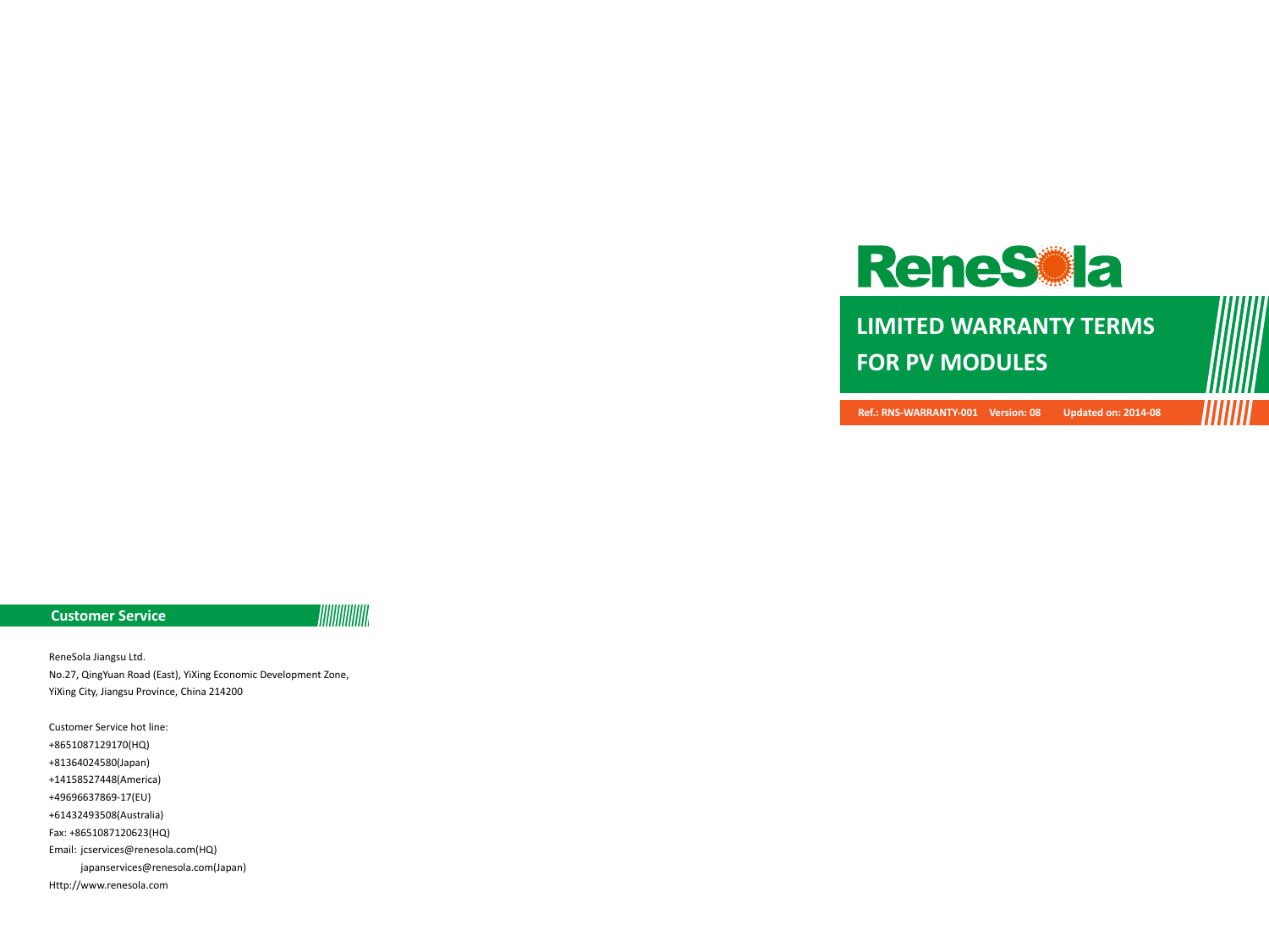

**LIMITED WARRANTY TERMS FOR PV MODULES**

**Ref.: RNS-WARRANTY-001 Version: 08 Updated on: 2014-08**

WWW

#### **Customer Service**

**TIIIIIIIIIIIII** 

ReneSola Jiangsu Ltd. No.27, QingYuan Road (East), YiXing Economic Development Zone, YiXing City, Jiangsu Province, China 214200

Customer Service hot line: +8651087129170(HQ) +81364024580(Japan) +14158527448(America) +49696637869-17(EU) +61432493508(Australia) Fax: +8651087120623(HQ) Email: jcservices@renesola.com(HQ) japanservices@renesola.com(Japan) Http://www.renesola.com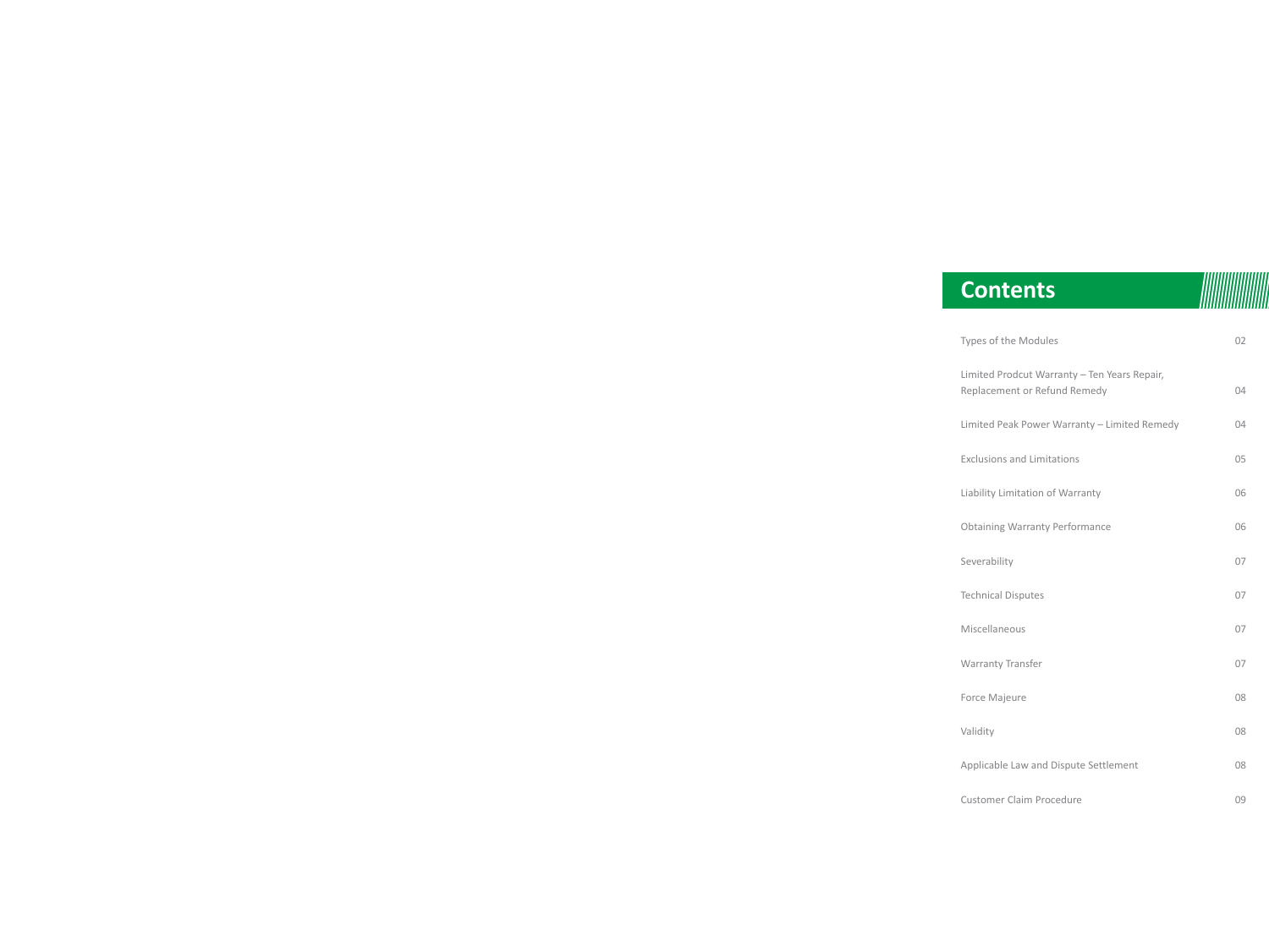| <b>Contents</b>                                                              |     |
|------------------------------------------------------------------------------|-----|
| Types of the Modules                                                         | 02  |
| Limited Prodcut Warranty - Ten Years Repair,<br>Replacement or Refund Remedy | 04  |
| Limited Peak Power Warranty - Limited Remedy                                 | 04  |
| <b>Exclusions and Limitations</b>                                            | 0.5 |
| Liability Limitation of Warranty                                             | 06  |
| <b>Obtaining Warranty Performance</b>                                        | 06  |
| Severability                                                                 | 07  |
| <b>Technical Disputes</b>                                                    | 07  |
| Miscellaneous                                                                | 07  |
| Warranty Transfer                                                            | 07  |
| Force Majeure                                                                | 08  |
| Validity                                                                     | 08  |
| Applicable Law and Dispute Settlement                                        | 08  |
| <b>Customer Claim Procedure</b>                                              | 09  |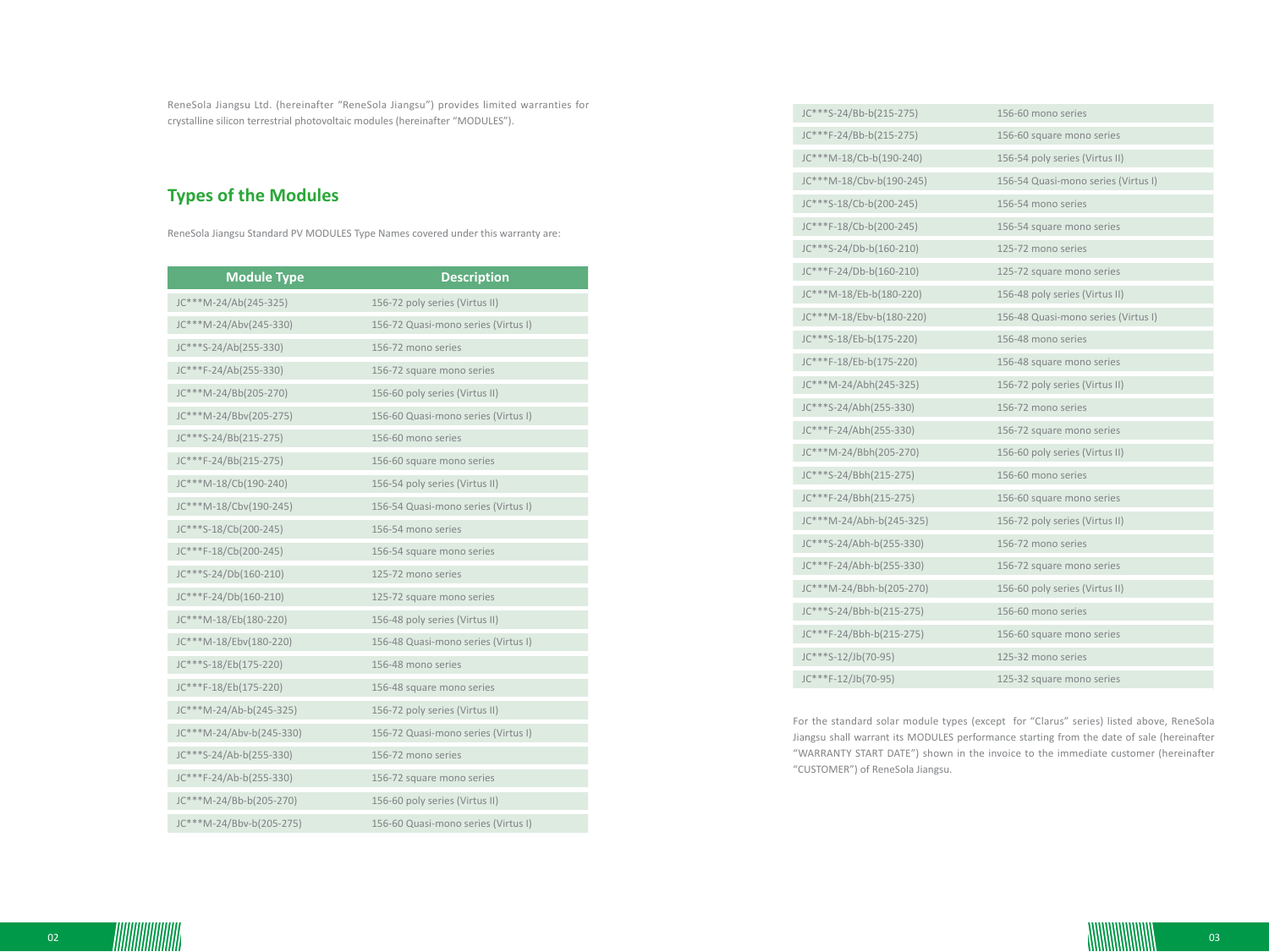ReneSola Jiangsu Ltd. (hereinafter "ReneSola Jiangsu") provides limited warranties for crystalline silicon terrestrial photovoltaic modules (hereinafter "MODULES").

# **Types of the Modules**

ReneSola Jiangsu Standard PV MODULES Type Names covered under this warranty are:

| <b>Module Type</b>       | <b>Description</b>                  |
|--------------------------|-------------------------------------|
| JC***M-24/Ab(245-325)    | 156-72 poly series (Virtus II)      |
| JC***M-24/Abv(245-330)   | 156-72 Quasi-mono series (Virtus I) |
| JC***S-24/Ab(255-330)    | 156-72 mono series                  |
| JC***F-24/Ab(255-330)    | 156-72 square mono series           |
| JC***M-24/Bb(205-270)    | 156-60 poly series (Virtus II)      |
| JC***M-24/Bbv(205-275)   | 156-60 Quasi-mono series (Virtus I) |
| JC***S-24/Bb(215-275)    | 156-60 mono series                  |
| JC***F-24/Bb(215-275)    | 156-60 square mono series           |
| JC***M-18/Cb(190-240)    | 156-54 poly series (Virtus II)      |
| JC***M-18/Cbv(190-245)   | 156-54 Quasi-mono series (Virtus I) |
| JC***S-18/Cb(200-245)    | 156-54 mono series                  |
| JC***F-18/Cb(200-245)    | 156-54 square mono series           |
| JC***S-24/Db(160-210)    | 125-72 mono series                  |
| JC***F-24/Db(160-210)    | 125-72 square mono series           |
| JC***M-18/Eb(180-220)    | 156-48 poly series (Virtus II)      |
| JC***M-18/Ebv(180-220)   | 156-48 Quasi-mono series (Virtus I) |
| JC***S-18/Eb(175-220)    | 156-48 mono series                  |
| JC***F-18/Eb(175-220)    | 156-48 square mono series           |
| JC***M-24/Ab-b(245-325)  | 156-72 poly series (Virtus II)      |
| JC***M-24/Abv-b(245-330) | 156-72 Quasi-mono series (Virtus I) |
| JC***S-24/Ab-b(255-330)  | 156-72 mono series                  |
| JC***F-24/Ab-b(255-330)  | 156-72 square mono series           |
| JC***M-24/Bb-b(205-270)  | 156-60 poly series (Virtus II)      |
| JC***M-24/Bbv-b(205-275) | 156-60 Quasi-mono series (Virtus I) |

| JC***S-24/Bb-b(215-275)  | 156-60 mono series                  |
|--------------------------|-------------------------------------|
| JC***F-24/Bb-b(215-275)  | 156-60 square mono series           |
| JC***M-18/Cb-b(190-240)  | 156-54 poly series (Virtus II)      |
| JC***M-18/Cbv-b(190-245) | 156-54 Quasi-mono series (Virtus I) |
| JC***S-18/Cb-b(200-245)  | 156-54 mono series                  |
| JC***F-18/Cb-b(200-245)  | 156-54 square mono series           |
| JC***S-24/Db-b(160-210)  | 125-72 mono series                  |
| JC***F-24/Db-b(160-210)  | 125-72 square mono series           |
| JC***M-18/Eb-b(180-220)  | 156-48 poly series (Virtus II)      |
| JC***M-18/Ebv-b(180-220) | 156-48 Quasi-mono series (Virtus I) |
| JC***S-18/Eb-b(175-220)  | 156-48 mono series                  |
| JC***F-18/Eb-b(175-220)  | 156-48 square mono series           |
| JC***M-24/Abh(245-325)   | 156-72 poly series (Virtus II)      |
| JC***S-24/Abh(255-330)   | 156-72 mono series                  |
| JC***F-24/Abh(255-330)   | 156-72 square mono series           |
| JC***M-24/Bbh(205-270)   | 156-60 poly series (Virtus II)      |
| JC***S-24/Bbh(215-275)   | 156-60 mono series                  |
| JC***F-24/Bbh(215-275)   | 156-60 square mono series           |
| JC***M-24/Abh-b(245-325) | 156-72 poly series (Virtus II)      |
| JC***S-24/Abh-b(255-330) | 156-72 mono series                  |
| JC***F-24/Abh-b(255-330) | 156-72 square mono series           |
| JC***M-24/Bbh-b(205-270) | 156-60 poly series (Virtus II)      |
| JC***S-24/Bbh-b(215-275) | 156-60 mono series                  |
| JC***F-24/Bbh-b(215-275) | 156-60 square mono series           |
| JC***S-12/Jb(70-95)      | 125-32 mono series                  |
| JC***F-12/Jb(70-95)      | 125-32 square mono series           |

For the standard solar module types (except for "Clarus" series) listed above, ReneSola Jiangsu shall warrant its MODULES performance starting from the date of sale (hereinafter "WARRANTY START DATE") shown in the invoice to the immediate customer (hereinafter "CUSTOMER") of ReneSola Jiangsu.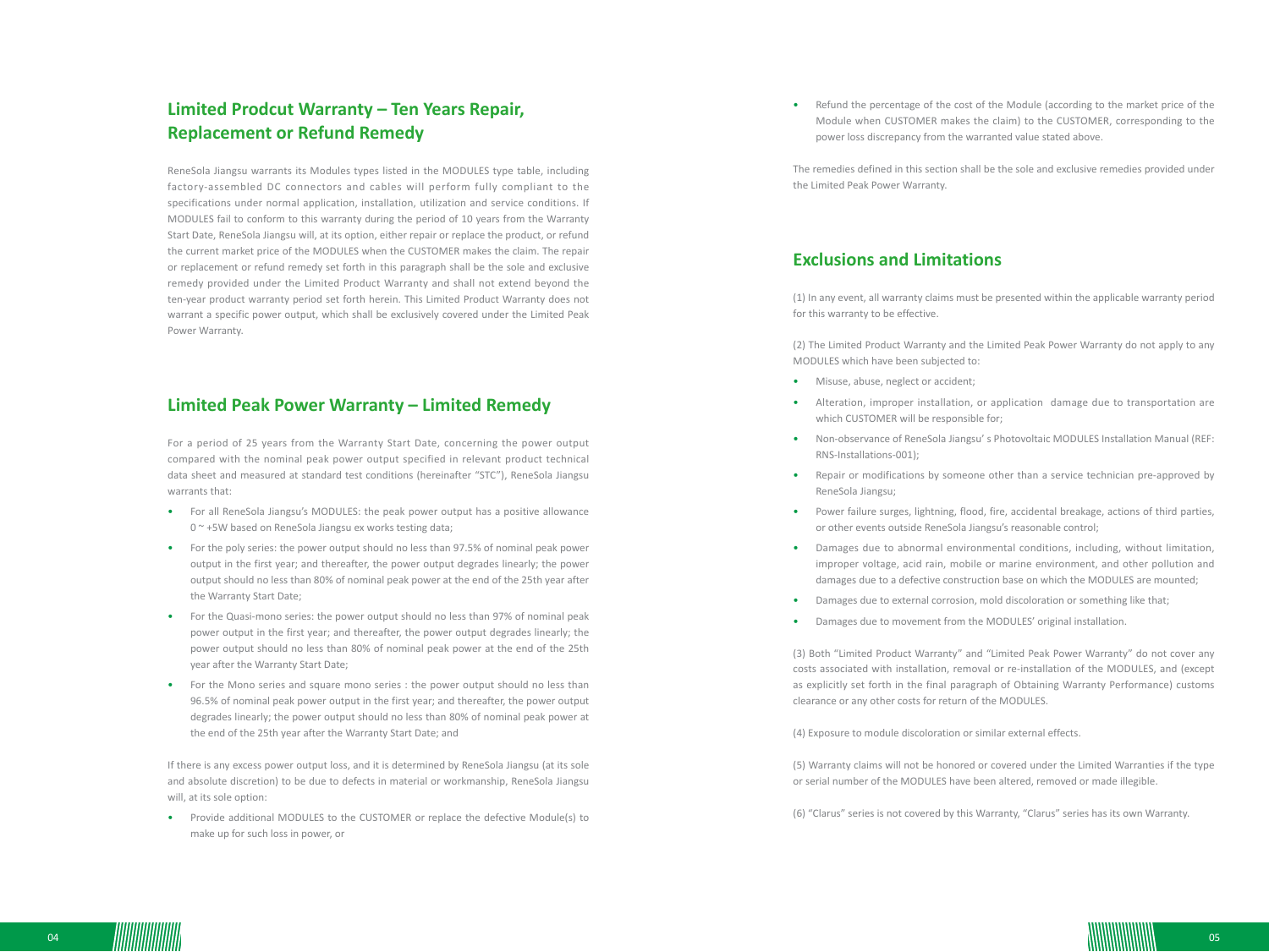# **Limited Prodcut Warranty – Ten Years Repair, Replacement or Refund Remedy**

ReneSola Jiangsu warrants its Modules types listed in the MODULES type table, including factory-assembled DC connectors and cables will perform fully compliant to the specifications under normal application, installation, utilization and service conditions. If MODULES fail to conform to this warranty during the period of 10 years from the Warranty Start Date, ReneSola Jiangsu will, at its option, either repair or replace the product, or refund the current market price of the MODULES when the CUSTOMER makes the claim. The repair or replacement or refund remedy set forth in this paragraph shall be the sole and exclusive remedy provided under the Limited Product Warranty and shall not extend beyond the ten-year product warranty period set forth herein. This Limited Product Warranty does not warrant a specific power output, which shall be exclusively covered under the Limited Peak Power Warranty.

#### **Limited Peak Power Warranty – Limited Remedy**

For a period of 25 years from the Warranty Start Date, concerning the power output compared with the nominal peak power output specified in relevant product technical data sheet and measured at standard test conditions (hereinafter "STC"), ReneSola Jiangsu warrants that:

- For all ReneSola Jiangsu's MODULES: the peak power output has a positive allowance 0 ~ +5W based on ReneSola Jiangsu ex works testing data;
- For the poly series: the power output should no less than 97.5% of nominal peak power output in the first year; and thereafter, the power output degrades linearly; the power output should no less than 80% of nominal peak power at the end of the 25th year after the Warranty Start Date;
- For the Quasi-mono series: the power output should no less than 97% of nominal peak power output in the first year; and thereafter, the power output degrades linearly; the power output should no less than 80% of nominal peak power at the end of the 25th year after the Warranty Start Date;
- For the Mono series and square mono series : the power output should no less than 96.5% of nominal peak power output in the first year; and thereafter, the power output degrades linearly; the power output should no less than 80% of nominal peak power at the end of the 25th year after the Warranty Start Date; and

If there is any excess power output loss, and it is determined by ReneSola Jiangsu (at its sole and absolute discretion) to be due to defects in material or workmanship, ReneSola Jiangsu will, at its sole option:

• Provide additional MODULES to the CUSTOMER or replace the defective Module(s) to make up for such loss in power, or

• Refund the percentage of the cost of the Module (according to the market price of the Module when CUSTOMER makes the claim) to the CUSTOMER, corresponding to the power loss discrepancy from the warranted value stated above.

The remedies defined in this section shall be the sole and exclusive remedies provided under the Limited Peak Power Warranty.

## **Exclusions and Limitations**

(1) In any event, all warranty claims must be presented within the applicable warranty period for this warranty to be effective.

(2) The Limited Product Warranty and the Limited Peak Power Warranty do not apply to any MODULES which have been subjected to:

- Misuse, abuse, neglect or accident;
- Alteration, improper installation, or application damage due to transportation are which CUSTOMER will be responsible for;
- Non-observance of ReneSola Jiangsu' s Photovoltaic MODULES Installation Manual (REF: RNS-Installations-001);
- Repair or modifications by someone other than a service technician pre-approved by ReneSola Jiangsu;
- Power failure surges, lightning, flood, fire, accidental breakage, actions of third parties, or other events outside ReneSola Jiangsu's reasonable control;
- Damages due to abnormal environmental conditions, including, without limitation, improper voltage, acid rain, mobile or marine environment, and other pollution and damages due to a defective construction base on which the MODULES are mounted;
- Damages due to external corrosion, mold discoloration or something like that;
- Damages due to movement from the MODULES' original installation.

(3) Both "Limited Product Warranty" and "Limited Peak Power Warranty" do not cover any costs associated with installation, removal or re-installation of the MODULES, and (except as explicitly set forth in the final paragraph of Obtaining Warranty Performance) customs clearance or any other costs for return of the MODULES.

(4) Exposure to module discoloration or similar external effects.

(5) Warranty claims will not be honored or covered under the Limited Warranties if the type or serial number of the MODULES have been altered, removed or made illegible.

(6) "Clarus" series is not covered by this Warranty, "Clarus" series has its own Warranty.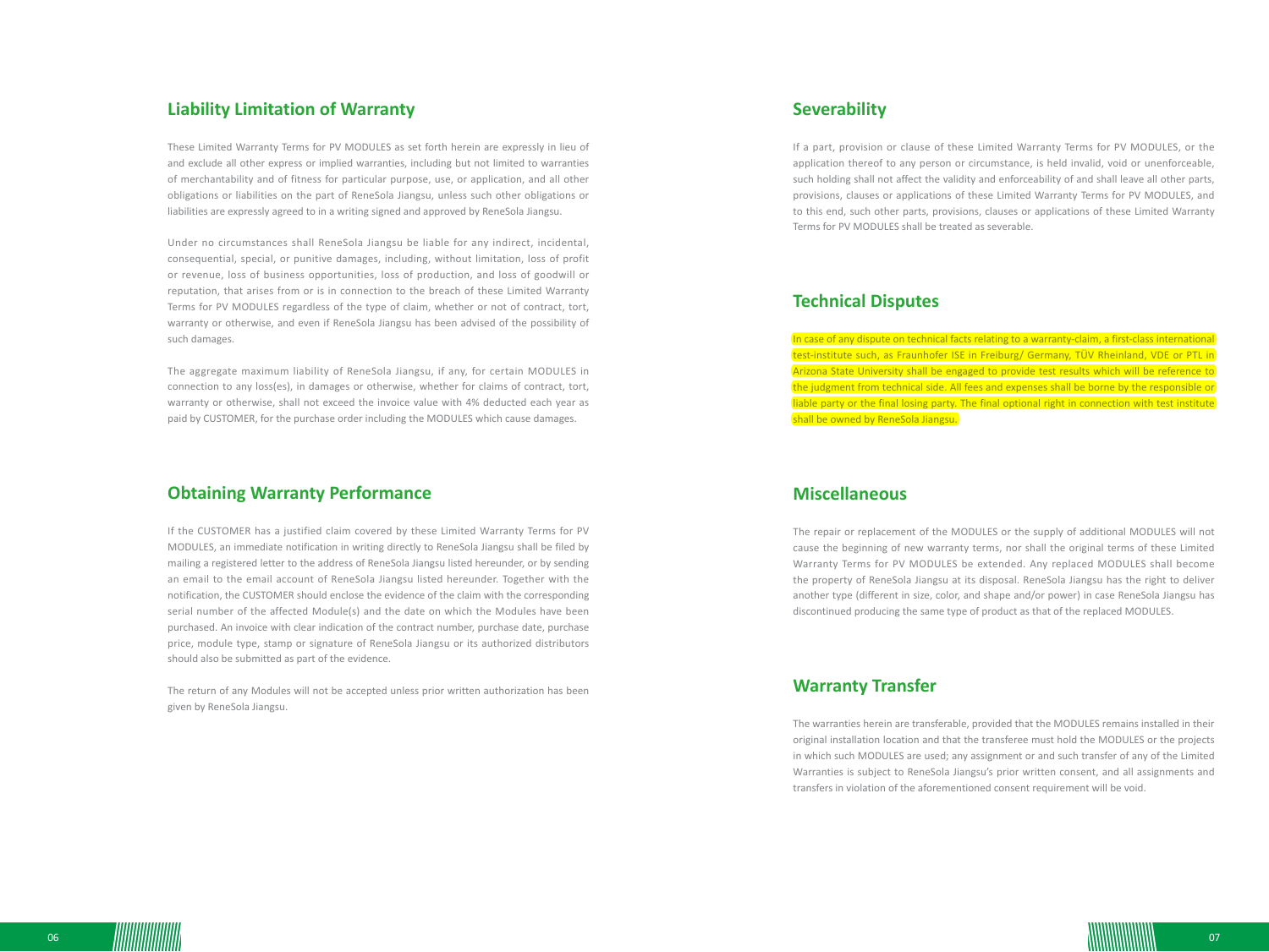#### **Liability Limitation of Warranty**

These Limited Warranty Terms for PV MODULES as set forth herein are expressly in lieu of and exclude all other express or implied warranties, including but not limited to warranties of merchantability and of fitness for particular purpose, use, or application, and all other obligations or liabilities on the part of ReneSola Jiangsu, unless such other obligations or liabilities are expressly agreed to in a writing signed and approved by ReneSola Jiangsu.

Under no circumstances shall ReneSola Jiangsu be liable for any indirect, incidental, consequential, special, or punitive damages, including, without limitation, loss of profit or revenue, loss of business opportunities, loss of production, and loss of goodwill or reputation, that arises from or is in connection to the breach of these Limited Warranty Terms for PV MODULES regardless of the type of claim, whether or not of contract, tort, warranty or otherwise, and even if ReneSola Jiangsu has been advised of the possibility of such damages.

The aggregate maximum liability of ReneSola Jiangsu, if any, for certain MODULES in connection to any loss(es), in damages or otherwise, whether for claims of contract, tort, warranty or otherwise, shall not exceed the invoice value with 4% deducted each year as paid by CUSTOMER, for the purchase order including the MODULES which cause damages.

#### **Obtaining Warranty Performance**

If the CUSTOMER has a justified claim covered by these Limited Warranty Terms for PV MODULES, an immediate notification in writing directly to ReneSola Jiangsu shall be filed by mailing a registered letter to the address of ReneSola Jiangsu listed hereunder, or by sending an email to the email account of ReneSola Jiangsu listed hereunder. Together with the notification, the CUSTOMER should enclose the evidence of the claim with the corresponding serial number of the affected Module(s) and the date on which the Modules have been purchased. An invoice with clear indication of the contract number, purchase date, purchase price, module type, stamp or signature of ReneSola Jiangsu or its authorized distributors should also be submitted as part of the evidence.

The return of any Modules will not be accepted unless prior written authorization has been given by ReneSola Jiangsu.

## **Severability**

If a part, provision or clause of these Limited Warranty Terms for PV MODULES, or the application thereof to any person or circumstance, is held invalid, void or unenforceable, such holding shall not affect the validity and enforceability of and shall leave all other parts, provisions, clauses or applications of these Limited Warranty Terms for PV MODULES, and to this end, such other parts, provisions, clauses or applications of these Limited Warranty Terms for PV MODULES shall be treated as severable.

## **Technical Disputes**

In case of any dispute on technical facts relating to a warranty-claim, a first-class international test-institute such, as Fraunhofer ISE in Freiburg/ Germany, TÜV Rheinland, VDE or PTL in Arizona State University shall be engaged to provide test results which will be reference to the judgment from technical side. All fees and expenses shall be borne by the responsible or liable party or the final losing party. The final optional right in connection with test institute shall be owned by ReneSola Jiangsu.

## **Miscellaneous**

The repair or replacement of the MODULES or the supply of additional MODULES will not cause the beginning of new warranty terms, nor shall the original terms of these Limited Warranty Terms for PV MODULES be extended. Any replaced MODULES shall become the property of ReneSola Jiangsu at its disposal. ReneSola Jiangsu has the right to deliver another type (different in size, color, and shape and/or power) in case ReneSola Jiangsu has discontinued producing the same type of product as that of the replaced MODULES.

#### **Warranty Transfer**

The warranties herein are transferable, provided that the MODULES remains installed in their original installation location and that the transferee must hold the MODULES or the projects in which such MODULES are used; any assignment or and such transfer of any of the Limited Warranties is subject to ReneSola Jiangsu's prior written consent, and all assignments and transfers in violation of the aforementioned consent requirement will be void.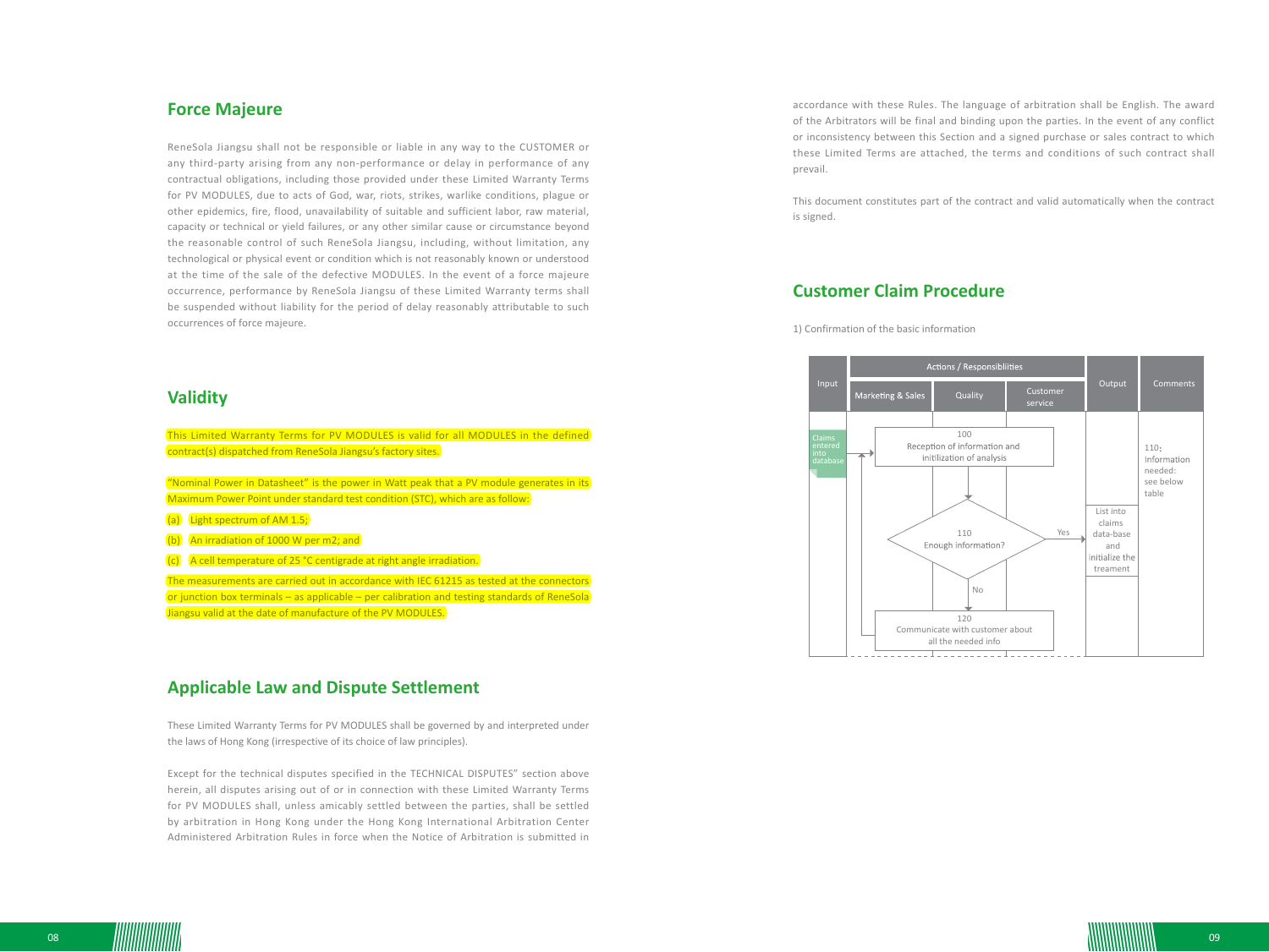## **Force Majeure**

ReneSola Jiangsu shall not be responsible or liable in any way to the CUSTOMER or any third-party arising from any non-performance or delay in performance of any contractual obligations, including those provided under these Limited Warranty Terms for PV MODULES, due to acts of God, war, riots, strikes, warlike conditions, plague or other epidemics, fire, flood, unavailability of suitable and sufficient labor, raw material, capacity or technical or yield failures, or any other similar cause or circumstance beyond the reasonable control of such ReneSola Jiangsu, including, without limitation, any technological or physical event or condition which is not reasonably known or understood at the time of the sale of the defective MODULES. In the event of a force majeure occurrence, performance by ReneSola Jiangsu of these Limited Warranty terms shall be suspended without liability for the period of delay reasonably attributable to such occurrences of force majeure.

#### **Validity**

This Limited Warranty Terms for PV MODULES is valid for all MODULES in the defined contract(s) dispatched from ReneSola Jiangsu's factory sites. "Nominal Power in Datasheet" is the power in Watt peak that a PV module generates in its Maximum Power Point under standard test condition (STC), which are as follow: (a) Light spectrum of AM 1.5; (b) An irradiation of 1000 W per m2; and  $(c)$  A cell temperature of 25 °C centigrade at right angle irradiation.

The measurements are carried out in accordance with IEC 61215 as tested at the connectors or junction box terminals – as applicable – per calibration and testing standards of ReneSola Jiangsu valid at the date of manufacture of the PV MODULES.

## **Applicable Law and Dispute Settlement**

These Limited Warranty Terms for PV MODULES shall be governed by and interpreted under the laws of Hong Kong (irrespective of its choice of law principles).

Except for the technical disputes specified in the TECHNICAL DISPUTES" section above herein, all disputes arising out of or in connection with these Limited Warranty Terms for PV MODULES shall, unless amicably settled between the parties, shall be settled by arbitration in Hong Kong under the Hong Kong International Arbitration Center Administered Arbitration Rules in force when the Notice of Arbitration is submitted in accordance with these Rules. The language of arbitration shall be English. The award of the Arbitrators will be final and binding upon the parties. In the event of any conflict or inconsistency between this Section and a signed purchase or sales contract to which these Limited Terms are attached, the terms and conditions of such contract shall prevail.

This document constitutes part of the contract and valid automatically when the contract is signed.

## **Customer Claim Procedure**

1) Confirmation of the basic information